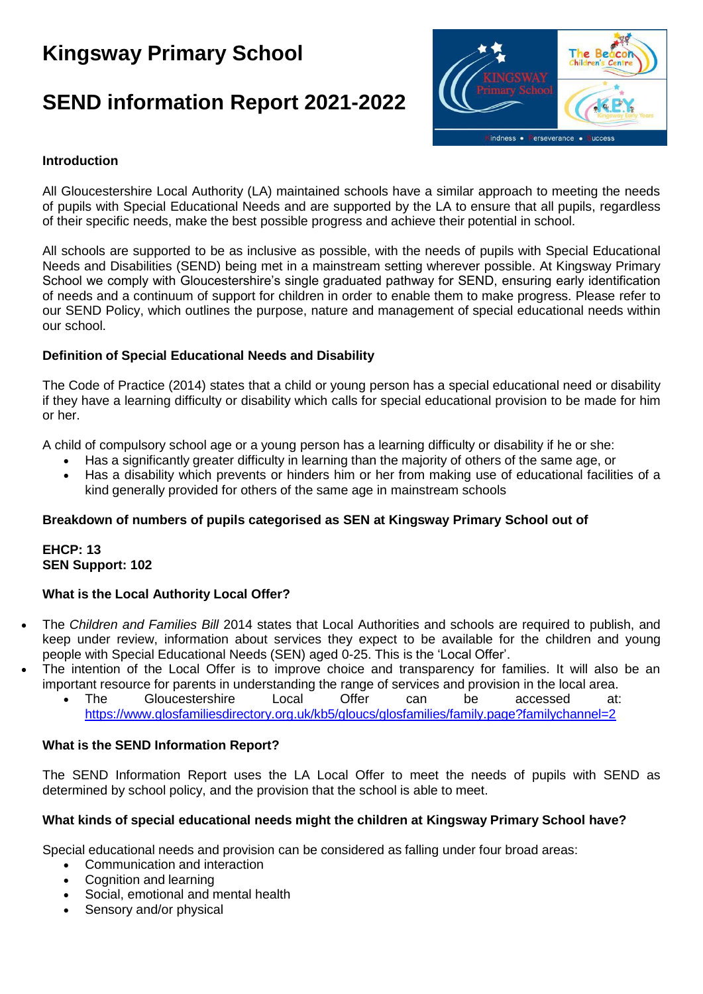# **Kingsway Primary School**

# **SEND information Report 2021-2022**



# **Introduction**

All Gloucestershire Local Authority (LA) maintained schools have a similar approach to meeting the needs of pupils with Special Educational Needs and are supported by the LA to ensure that all pupils, regardless of their specific needs, make the best possible progress and achieve their potential in school.

All schools are supported to be as inclusive as possible, with the needs of pupils with Special Educational Needs and Disabilities (SEND) being met in a mainstream setting wherever possible. At Kingsway Primary School we comply with Gloucestershire's single graduated pathway for SEND, ensuring early identification of needs and a continuum of support for children in order to enable them to make progress. Please refer to our SEND Policy, which outlines the purpose, nature and management of special educational needs within our school.

# **Definition of Special Educational Needs and Disability**

The Code of Practice (2014) states that a child or young person has a special educational need or disability if they have a learning difficulty or disability which calls for special educational provision to be made for him or her.

A child of compulsory school age or a young person has a learning difficulty or disability if he or she:

- Has a significantly greater difficulty in learning than the majority of others of the same age, or
- Has a disability which prevents or hinders him or her from making use of educational facilities of a kind generally provided for others of the same age in mainstream schools

#### **Breakdown of numbers of pupils categorised as SEN at Kingsway Primary School out of**

#### **EHCP: 13 SEN Support: 102**

#### **What is the Local Authority Local Offer?**

- The *Children and Families Bill* 2014 states that Local Authorities and schools are required to publish, and keep under review, information about services they expect to be available for the children and young people with Special Educational Needs (SEN) aged 0-25. This is the 'Local Offer'.
- The intention of the Local Offer is to improve choice and transparency for families. It will also be an important resource for parents in understanding the range of services and provision in the local area.
	- The Gloucestershire Local Offer can be accessed at: <https://www.glosfamiliesdirectory.org.uk/kb5/gloucs/glosfamilies/family.page?familychannel=2>

#### **What is the SEND Information Report?**

The SEND Information Report uses the LA Local Offer to meet the needs of pupils with SEND as determined by school policy, and the provision that the school is able to meet.

#### **What kinds of special educational needs might the children at Kingsway Primary School have?**

Special educational needs and provision can be considered as falling under four broad areas:

- Communication and interaction
- Cognition and learning
- Social, emotional and mental health
- Sensory and/or physical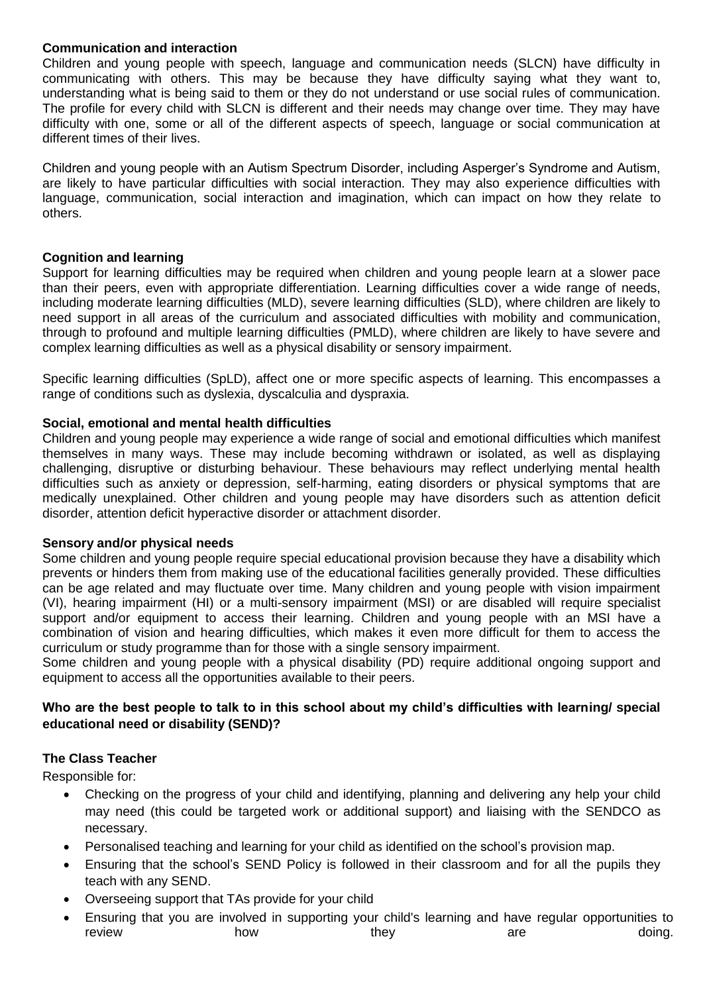#### **Communication and interaction**

Children and young people with speech, language and communication needs (SLCN) have difficulty in communicating with others. This may be because they have difficulty saying what they want to, understanding what is being said to them or they do not understand or use social rules of communication. The profile for every child with SLCN is different and their needs may change over time. They may have difficulty with one, some or all of the different aspects of speech, language or social communication at different times of their lives.

Children and young people with an Autism Spectrum Disorder, including Asperger's Syndrome and Autism, are likely to have particular difficulties with social interaction. They may also experience difficulties with language, communication, social interaction and imagination, which can impact on how they relate to others.

# **Cognition and learning**

Support for learning difficulties may be required when children and young people learn at a slower pace than their peers, even with appropriate differentiation. Learning difficulties cover a wide range of needs, including moderate learning difficulties (MLD), severe learning difficulties (SLD), where children are likely to need support in all areas of the curriculum and associated difficulties with mobility and communication, through to profound and multiple learning difficulties (PMLD), where children are likely to have severe and complex learning difficulties as well as a physical disability or sensory impairment.

Specific learning difficulties (SpLD), affect one or more specific aspects of learning. This encompasses a range of conditions such as dyslexia, dyscalculia and dyspraxia.

# **Social, emotional and mental health difficulties**

Children and young people may experience a wide range of social and emotional difficulties which manifest themselves in many ways. These may include becoming withdrawn or isolated, as well as displaying challenging, disruptive or disturbing behaviour. These behaviours may reflect underlying mental health difficulties such as anxiety or depression, self-harming, eating disorders or physical symptoms that are medically unexplained. Other children and young people may have disorders such as attention deficit disorder, attention deficit hyperactive disorder or attachment disorder.

#### **Sensory and/or physical needs**

Some children and young people require special educational provision because they have a disability which prevents or hinders them from making use of the educational facilities generally provided. These difficulties can be age related and may fluctuate over time. Many children and young people with vision impairment (VI), hearing impairment (HI) or a multi-sensory impairment (MSI) or are disabled will require specialist support and/or equipment to access their learning. Children and young people with an MSI have a combination of vision and hearing difficulties, which makes it even more difficult for them to access the curriculum or study programme than for those with a single sensory impairment.

Some children and young people with a physical disability (PD) require additional ongoing support and equipment to access all the opportunities available to their peers.

# **Who are the best people to talk to in this school about my child's difficulties with learning/ special educational need or disability (SEND)?**

# **The Class Teacher**

Responsible for:

- Checking on the progress of your child and identifying, planning and delivering any help your child may need (this could be targeted work or additional support) and liaising with the SENDCO as necessary.
- Personalised teaching and learning for your child as identified on the school's provision map.
- Ensuring that the school's SEND Policy is followed in their classroom and for all the pupils they teach with any SEND.
- Overseeing support that TAs provide for your child
- Ensuring that you are involved in supporting your child's learning and have regular opportunities to review **how** how they are are doing.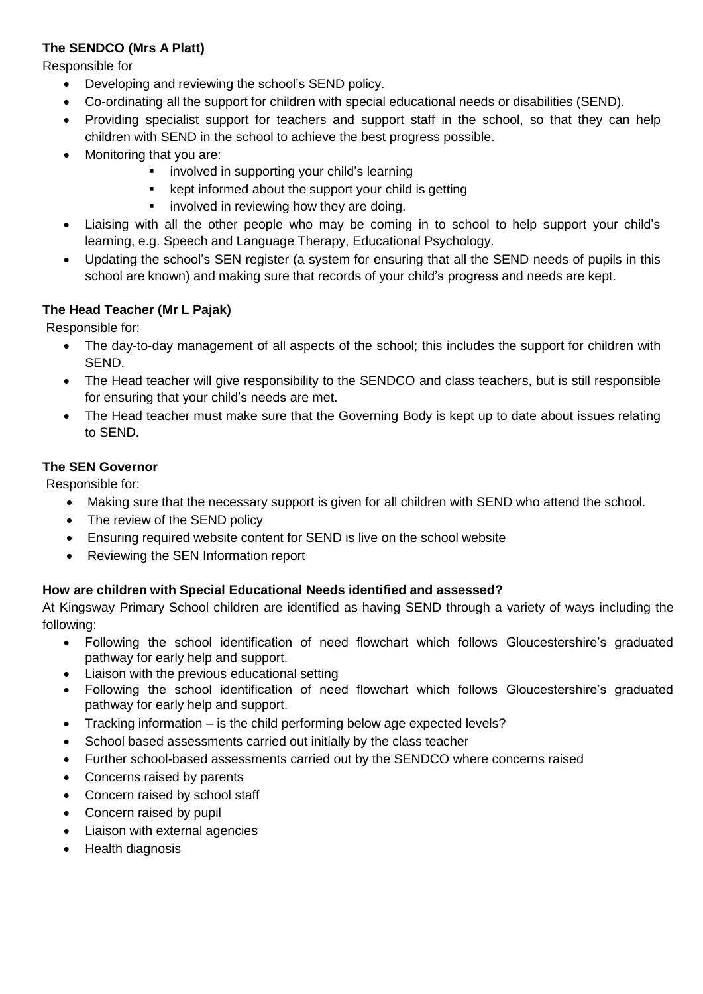# **The SENDCO (Mrs A Platt)**

Responsible for

- Developing and reviewing the school's SEND policy.
- Co-ordinating all the support for children with special educational needs or disabilities (SEND).
- Providing specialist support for teachers and support staff in the school, so that they can help children with SEND in the school to achieve the best progress possible.
- Monitoring that you are:
	- **EXEDENT** involved in supporting your child's learning
	- kept informed about the support your child is getting
	- **•** involved in reviewing how they are doing.
- Liaising with all the other people who may be coming in to school to help support your child's learning, e.g. Speech and Language Therapy, Educational Psychology.
- Updating the school's SEN register (a system for ensuring that all the SEND needs of pupils in this school are known) and making sure that records of your child's progress and needs are kept.

# **The Head Teacher (Mr L Pajak)**

Responsible for:

- The day-to-day management of all aspects of the school; this includes the support for children with SEND.
- The Head teacher will give responsibility to the SENDCO and class teachers, but is still responsible for ensuring that your child's needs are met.
- The Head teacher must make sure that the Governing Body is kept up to date about issues relating to SEND.

# **The SEN Governor**

Responsible for:

- Making sure that the necessary support is given for all children with SEND who attend the school.
- The review of the SEND policy
- Ensuring required website content for SEND is live on the school website
- Reviewing the SEN Information report

# **How are children with Special Educational Needs identified and assessed?**

At Kingsway Primary School children are identified as having SEND through a variety of ways including the following:

- Following the school identification of need flowchart which follows Gloucestershire's graduated pathway for early help and support.
- Liaison with the previous educational setting
- Following the school identification of need flowchart which follows Gloucestershire's graduated pathway for early help and support.
- Tracking information is the child performing below age expected levels?
- School based assessments carried out initially by the class teacher
- Further school-based assessments carried out by the SENDCO where concerns raised
- Concerns raised by parents
- Concern raised by school staff
- Concern raised by pupil
- Liaison with external agencies
- Health diagnosis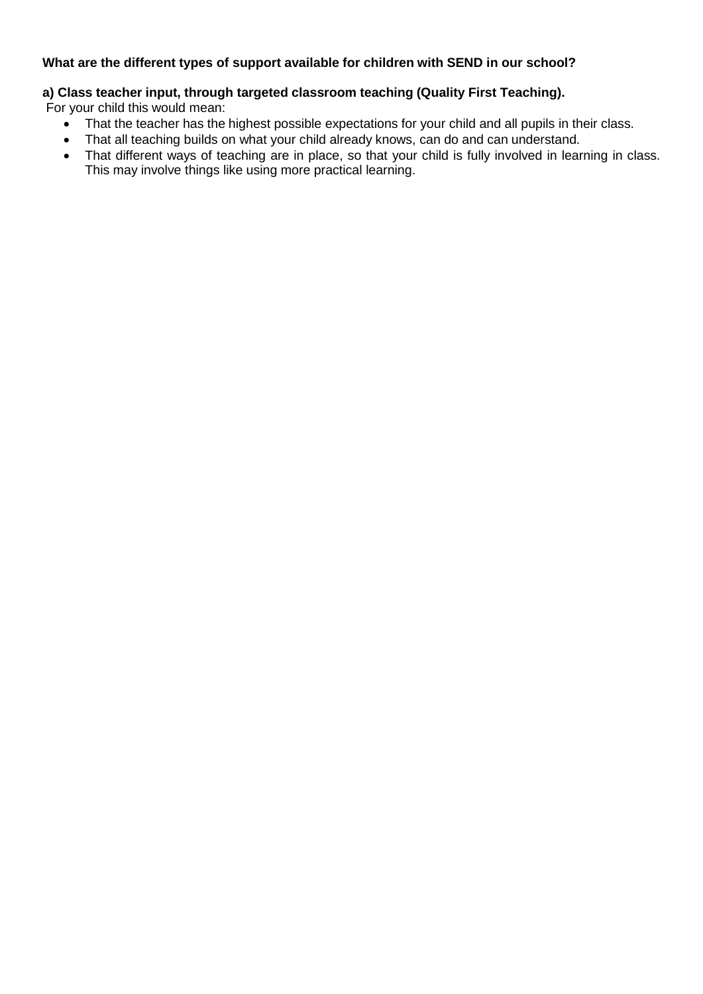# **What are the different types of support available for children with SEND in our school?**

# **a) Class teacher input, through targeted classroom teaching (Quality First Teaching).**

For your child this would mean:

- That the teacher has the highest possible expectations for your child and all pupils in their class.
- That all teaching builds on what your child already knows, can do and can understand.
- That different ways of teaching are in place, so that your child is fully involved in learning in class. This may involve things like using more practical learning.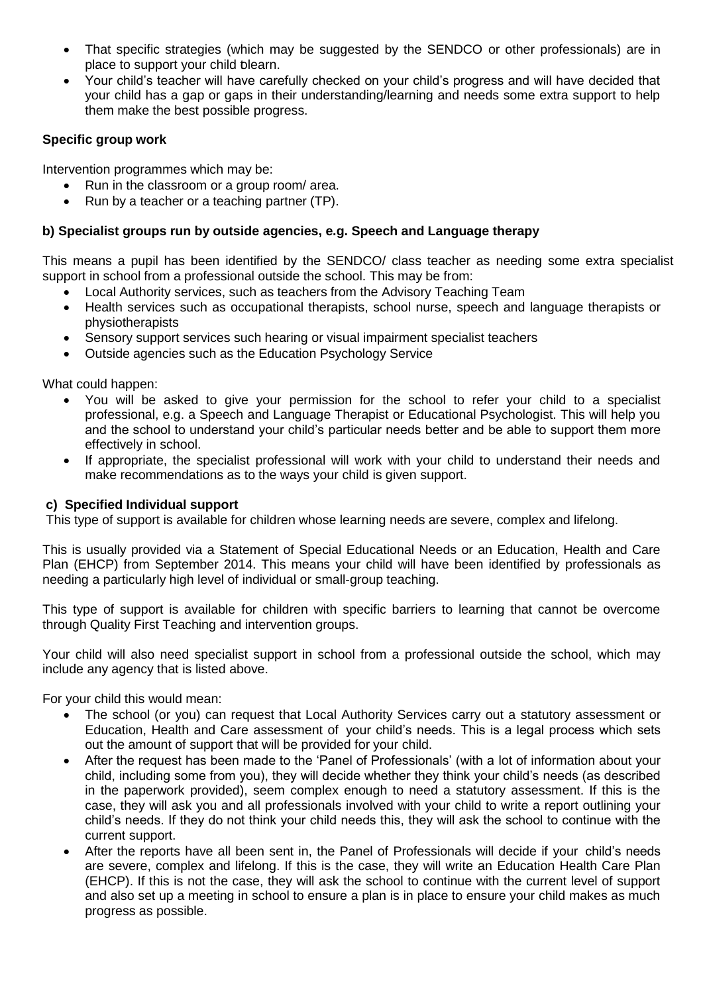- That specific strategies (which may be suggested by the SENDCO or other professionals) are in place to support your child blearn.
- Your child's teacher will have carefully checked on your child's progress and will have decided that your child has a gap or gaps in their understanding/learning and needs some extra support to help them make the best possible progress.

# **Specific group work**

Intervention programmes which may be:

- Run in the classroom or a group room/ area.
- Run by a teacher or a teaching partner (TP).

# **b) Specialist groups run by outside agencies, e.g. Speech and Language therapy**

This means a pupil has been identified by the SENDCO/ class teacher as needing some extra specialist support in school from a professional outside the school. This may be from:

- Local Authority services, such as teachers from the Advisory Teaching Team
- Health services such as occupational therapists, school nurse, speech and language therapists or physiotherapists
- Sensory support services such hearing or visual impairment specialist teachers
- Outside agencies such as the Education Psychology Service

What could happen:

- You will be asked to give your permission for the school to refer your child to a specialist professional, e.g. a Speech and Language Therapist or Educational Psychologist. This will help you and the school to understand your child's particular needs better and be able to support them more effectively in school.
- If appropriate, the specialist professional will work with your child to understand their needs and make recommendations as to the ways your child is given support.

#### **c) Specified Individual support**

This type of support is available for children whose learning needs are severe, complex and lifelong.

This is usually provided via a Statement of Special Educational Needs or an Education, Health and Care Plan (EHCP) from September 2014. This means your child will have been identified by professionals as needing a particularly high level of individual or small-group teaching.

This type of support is available for children with specific barriers to learning that cannot be overcome through Quality First Teaching and intervention groups.

Your child will also need specialist support in school from a professional outside the school, which may include any agency that is listed above.

For your child this would mean:

- The school (or you) can request that Local Authority Services carry out a statutory assessment or Education, Health and Care assessment of your child's needs. This is a legal process which sets out the amount of support that will be provided for your child.
- After the request has been made to the 'Panel of Professionals' (with a lot of information about your child, including some from you), they will decide whether they think your child's needs (as described in the paperwork provided), seem complex enough to need a statutory assessment. If this is the case, they will ask you and all professionals involved with your child to write a report outlining your child's needs. If they do not think your child needs this, they will ask the school to continue with the current support.
- After the reports have all been sent in, the Panel of Professionals will decide if your child's needs are severe, complex and lifelong. If this is the case, they will write an Education Health Care Plan (EHCP). If this is not the case, they will ask the school to continue with the current level of support and also set up a meeting in school to ensure a plan is in place to ensure your child makes as much progress as possible.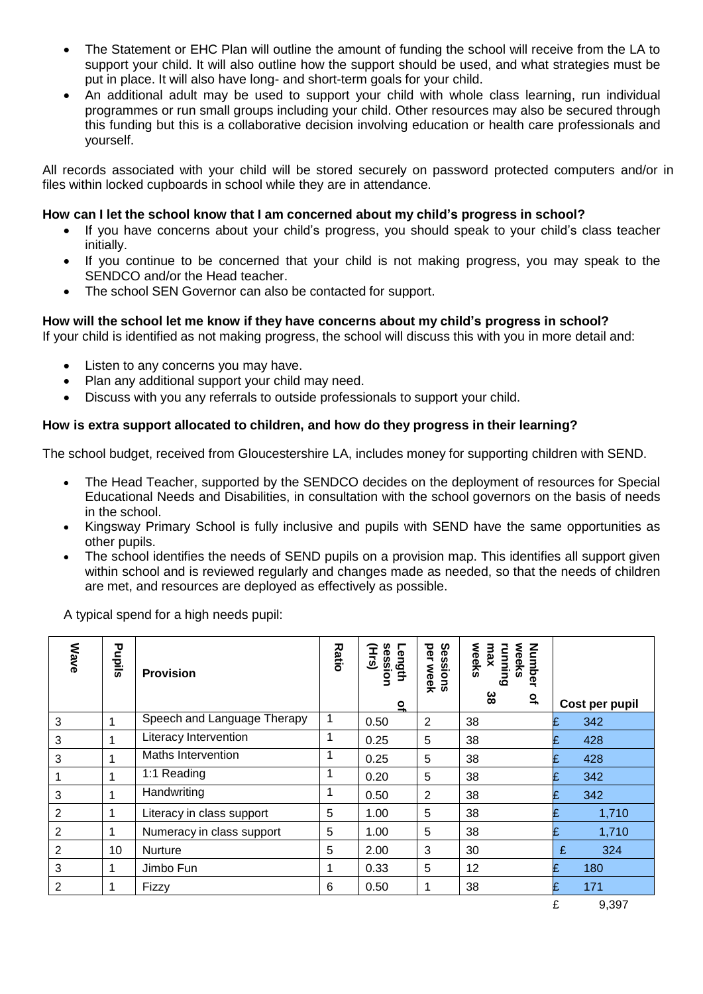- The Statement or EHC Plan will outline the amount of funding the school will receive from the LA to support your child. It will also outline how the support should be used, and what strategies must be put in place. It will also have long- and short-term goals for your child.
- An additional adult may be used to support your child with whole class learning, run individual programmes or run small groups including your child. Other resources may also be secured through this funding but this is a collaborative decision involving education or health care professionals and yourself.

All records associated with your child will be stored securely on password protected computers and/or in files within locked cupboards in school while they are in attendance.

#### **How can I let the school know that I am concerned about my child's progress in school?**

- If you have concerns about your child's progress, you should speak to your child's class teacher initially.
- If you continue to be concerned that your child is not making progress, you may speak to the SENDCO and/or the Head teacher.
- The school SEN Governor can also be contacted for support.

# **How will the school let me know if they have concerns about my child's progress in school?**

If your child is identified as not making progress, the school will discuss this with you in more detail and:

- Listen to any concerns you may have.
- Plan any additional support your child may need.
- Discuss with you any referrals to outside professionals to support your child.

# **How is extra support allocated to children, and how do they progress in their learning?**

The school budget, received from Gloucestershire LA, includes money for supporting children with SEND.

- The Head Teacher, supported by the SENDCO decides on the deployment of resources for Special Educational Needs and Disabilities, in consultation with the school governors on the basis of needs in the school.
- Kingsway Primary School is fully inclusive and pupils with SEND have the same opportunities as other pupils.
- The school identifies the needs of SEND pupils on a provision map. This identifies all support given within school and is reviewed regularly and changes made as needed, so that the needs of children are met, and resources are deployed as effectively as possible.

A typical spend for a high needs pupil:

| <b>Wave</b>    | Pupils | <b>Provision</b>            | <b>Ratio</b> | Length<br>session<br>Hrs)<br>$\mathbf{a}$ | per<br>Sessions<br>week | weeks<br>Number<br>running<br>weeks<br>max<br>အိ<br>$\mathbf{a}$ | Cost per pupil  |
|----------------|--------|-----------------------------|--------------|-------------------------------------------|-------------------------|------------------------------------------------------------------|-----------------|
| 3              |        | Speech and Language Therapy | 1            | 0.50                                      | 2                       | 38                                                               | 342<br>£        |
| 3              | 1      | Literacy Intervention       | 1            | 0.25                                      | 5                       | 38                                                               | £<br>428        |
| 3              | 1      | Maths Intervention          | 1            | 0.25                                      | 5                       | 38                                                               | 428<br>£        |
|                |        | 1:1 Reading                 | 1            | 0.20                                      | 5                       | 38                                                               | 342<br>£        |
| 3              | 1      | Handwriting                 | 1            | 0.50                                      | $\overline{2}$          | 38                                                               | 342<br>£        |
| $\overline{2}$ | 1      | Literacy in class support   | 5            | 1.00                                      | 5                       | 38                                                               | 1,710           |
| $\overline{2}$ |        | Numeracy in class support   | 5            | 1.00                                      | 5                       | 38                                                               | £<br>1,710      |
| $\overline{2}$ | 10     | <b>Nurture</b>              | 5            | 2.00                                      | 3                       | 30                                                               | £<br>324        |
| 3              |        | Jimbo Fun                   |              | 0.33                                      | 5                       | 12                                                               | F<br>180        |
| $\overline{2}$ | 1      | Fizzy                       | 6            | 0.50                                      |                         | 38                                                               | £<br>171        |
|                |        |                             |              |                                           |                         |                                                                  | $\sim$<br>0.027 |

£ 9,397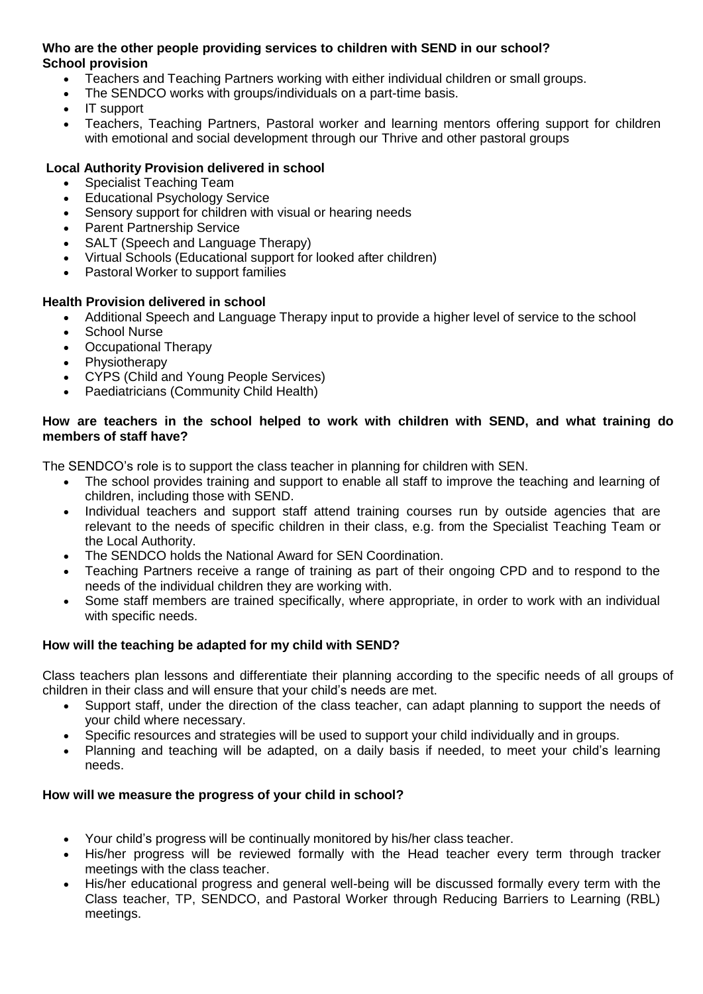#### **Who are the other people providing services to children with SEND in our school? School provision**

- Teachers and Teaching Partners working with either individual children or small groups.
- The SENDCO works with groups/individuals on a part-time basis.
- IT support
- Teachers, Teaching Partners, Pastoral worker and learning mentors offering support for children with emotional and social development through our Thrive and other pastoral groups

# **Local Authority Provision delivered in school**

- Specialist Teaching Team
- Educational Psychology Service
- Sensory support for children with visual or hearing needs
- Parent Partnership Service
- SALT (Speech and Language Therapy)
- Virtual Schools (Educational support for looked after children)
- Pastoral Worker to support families

# **Health Provision delivered in school**

- Additional Speech and Language Therapy input to provide a higher level of service to the school
- School Nurse
- Occupational Therapy
- Physiotherapy
- CYPS (Child and Young People Services)
- Paediatricians (Community Child Health)

#### **How are teachers in the school helped to work with children with SEND, and what training do members of staff have?**

The SENDCO's role is to support the class teacher in planning for children with SEN.

- The school provides training and support to enable all staff to improve the teaching and learning of children, including those with SEND.
- Individual teachers and support staff attend training courses run by outside agencies that are relevant to the needs of specific children in their class, e.g. from the Specialist Teaching Team or the Local Authority.
- The SENDCO holds the National Award for SEN Coordination.
- Teaching Partners receive a range of training as part of their ongoing CPD and to respond to the needs of the individual children they are working with.
- Some staff members are trained specifically, where appropriate, in order to work with an individual with specific needs.

# **How will the teaching be adapted for my child with SEND?**

Class teachers plan lessons and differentiate their planning according to the specific needs of all groups of children in their class and will ensure that your child's needs are met.

- Support staff, under the direction of the class teacher, can adapt planning to support the needs of your child where necessary.
- Specific resources and strategies will be used to support your child individually and in groups.
- Planning and teaching will be adapted, on a daily basis if needed, to meet your child's learning needs.

#### **How will we measure the progress of your child in school?**

- Your child's progress will be continually monitored by his/her class teacher.
- His/her progress will be reviewed formally with the Head teacher every term through tracker meetings with the class teacher.
- His/her educational progress and general well-being will be discussed formally every term with the Class teacher, TP, SENDCO, and Pastoral Worker through Reducing Barriers to Learning (RBL) meetings.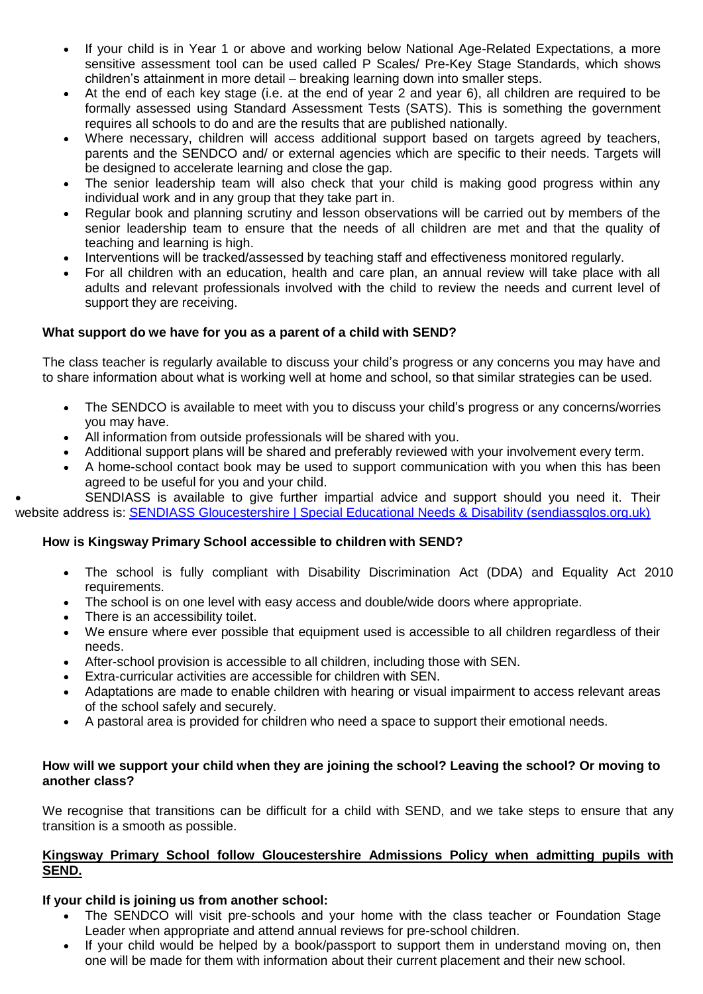- If your child is in Year 1 or above and working below National Age-Related Expectations, a more sensitive assessment tool can be used called P Scales/ Pre-Key Stage Standards, which shows children's attainment in more detail – breaking learning down into smaller steps.
- At the end of each key stage (i.e. at the end of year 2 and year 6), all children are required to be formally assessed using Standard Assessment Tests (SATS). This is something the government requires all schools to do and are the results that are published nationally.
- Where necessary, children will access additional support based on targets agreed by teachers, parents and the SENDCO and/ or external agencies which are specific to their needs. Targets will be designed to accelerate learning and close the gap.
- The senior leadership team will also check that your child is making good progress within any individual work and in any group that they take part in.
- Regular book and planning scrutiny and lesson observations will be carried out by members of the senior leadership team to ensure that the needs of all children are met and that the quality of teaching and learning is high.
- Interventions will be tracked/assessed by teaching staff and effectiveness monitored regularly.
- For all children with an education, health and care plan, an annual review will take place with all adults and relevant professionals involved with the child to review the needs and current level of support they are receiving.

# **What support do we have for you as a parent of a child with SEND?**

The class teacher is regularly available to discuss your child's progress or any concerns you may have and to share information about what is working well at home and school, so that similar strategies can be used.

- The SENDCO is available to meet with you to discuss your child's progress or any concerns/worries you may have.
- All information from outside professionals will be shared with you.
- Additional support plans will be shared and preferably reviewed with your involvement every term.
- A home-school contact book may be used to support communication with you when this has been agreed to be useful for you and your child.

 SENDIASS is available to give further impartial advice and support should you need it. Their website address is: [SENDIASS Gloucestershire | Special Educational Needs & Disability \(sendiassglos.org.uk\)](https://sendiassglos.org.uk/)

# **How is Kingsway Primary School accessible to children with SEND?**

- The school is fully compliant with Disability Discrimination Act (DDA) and Equality Act 2010 requirements.
- The school is on one level with easy access and double/wide doors where appropriate.
- There is an accessibility toilet.
- We ensure where ever possible that equipment used is accessible to all children regardless of their needs.
- After-school provision is accessible to all children, including those with SEN.
- Extra-curricular activities are accessible for children with SEN.
- Adaptations are made to enable children with hearing or visual impairment to access relevant areas of the school safely and securely.
- A pastoral area is provided for children who need a space to support their emotional needs.

#### **How will we support your child when they are joining the school? Leaving the school? Or moving to another class?**

We recognise that transitions can be difficult for a child with SEND, and we take steps to ensure that any transition is a smooth as possible.

#### **Kingsway Primary School follow Gloucestershire Admissions Policy when admitting pupils with SEND.**

#### **If your child is joining us from another school:**

- The SENDCO will visit pre-schools and your home with the class teacher or Foundation Stage Leader when appropriate and attend annual reviews for pre-school children.
- If your child would be helped by a book/passport to support them in understand moving on, then one will be made for them with information about their current placement and their new school.